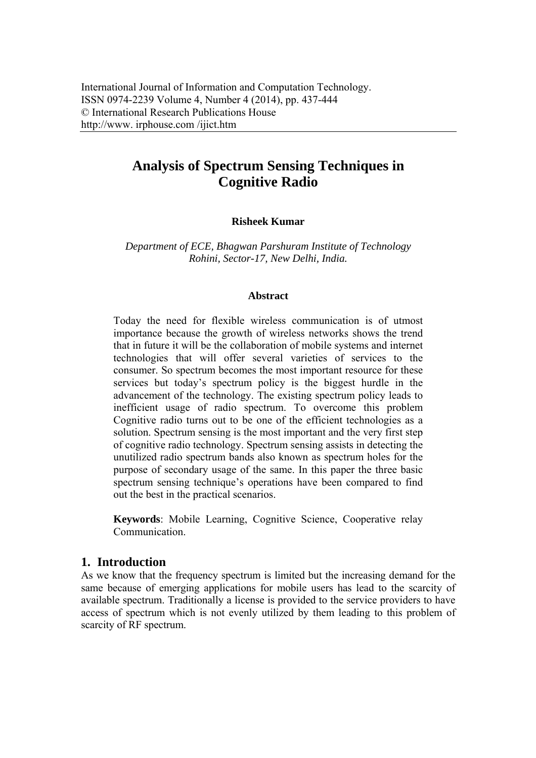# **Analysis of Spectrum Sensing Techniques in Cognitive Radio**

## **Risheek Kumar**

*Department of ECE, Bhagwan Parshuram Institute of Technology Rohini, Sector-17, New Delhi, India.* 

#### **Abstract**

Today the need for flexible wireless communication is of utmost importance because the growth of wireless networks shows the trend that in future it will be the collaboration of mobile systems and internet technologies that will offer several varieties of services to the consumer. So spectrum becomes the most important resource for these services but today's spectrum policy is the biggest hurdle in the advancement of the technology. The existing spectrum policy leads to inefficient usage of radio spectrum. To overcome this problem Cognitive radio turns out to be one of the efficient technologies as a solution. Spectrum sensing is the most important and the very first step of cognitive radio technology. Spectrum sensing assists in detecting the unutilized radio spectrum bands also known as spectrum holes for the purpose of secondary usage of the same. In this paper the three basic spectrum sensing technique's operations have been compared to find out the best in the practical scenarios.

**Keywords**: Mobile Learning, Cognitive Science, Cooperative relay **Communication** 

# **1. Introduction**

As we know that the frequency spectrum is limited but the increasing demand for the same because of emerging applications for mobile users has lead to the scarcity of available spectrum. Traditionally a license is provided to the service providers to have access of spectrum which is not evenly utilized by them leading to this problem of scarcity of RF spectrum.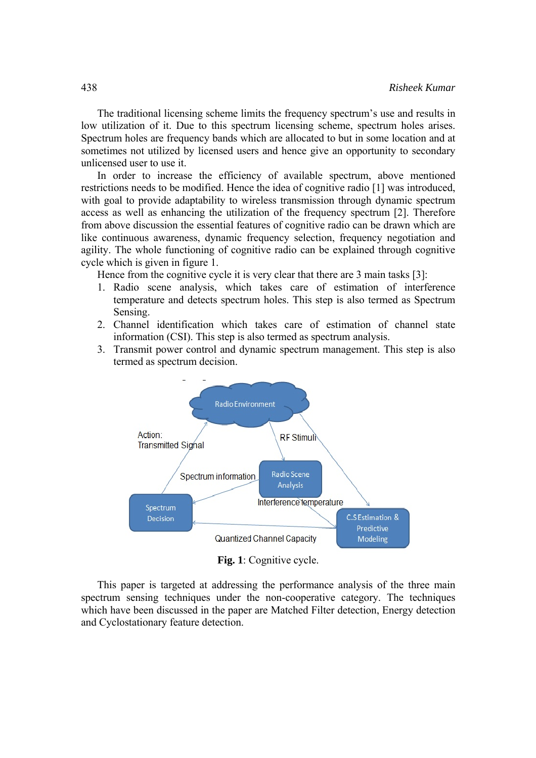The traditional licensing scheme limits the frequency spectrum's use and results in low utilization of it. Due to this spectrum licensing scheme, spectrum holes arises. Spectrum holes are frequency bands which are allocated to but in some location and at sometimes not utilized by licensed users and hence give an opportunity to secondary unlicensed user to use it.

In order to increase the efficiency of available spectrum, above mentioned restrictions needs to be modified. Hence the idea of cognitive radio [1] was introduced, with goal to provide adaptability to wireless transmission through dynamic spectrum access as well as enhancing the utilization of the frequency spectrum [2]. Therefore from above discussion the essential features of cognitive radio can be drawn which are like continuous awareness, dynamic frequency selection, frequency negotiation and agility. The whole functioning of cognitive radio can be explained through cognitive cycle which is given in figure 1.

Hence from the cognitive cycle it is very clear that there are 3 main tasks [3]:

- 1. Radio scene analysis, which takes care of estimation of interference temperature and detects spectrum holes. This step is also termed as Spectrum Sensing.
- 2. Channel identification which takes care of estimation of channel state information (CSI). This step is also termed as spectrum analysis.
- 3. Transmit power control and dynamic spectrum management. This step is also termed as spectrum decision.



**Fig. 1**: Cognitive cycle.

This paper is targeted at addressing the performance analysis of the three main spectrum sensing techniques under the non-cooperative category. The techniques which have been discussed in the paper are Matched Filter detection, Energy detection and Cyclostationary feature detection.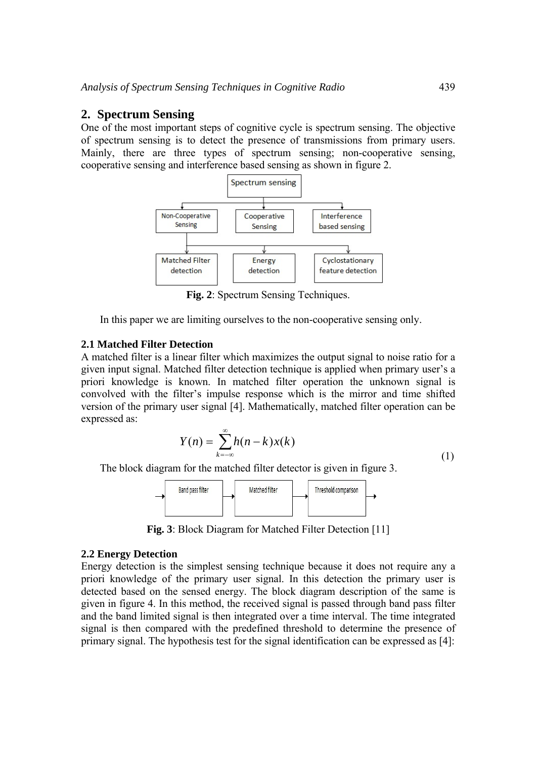# **2. Spectrum Sensing**

One of the most important steps of cognitive cycle is spectrum sensing. The objective of spectrum sensing is to detect the presence of transmissions from primary users. Mainly, there are three types of spectrum sensing; non-cooperative sensing, cooperative sensing and interference based sensing as shown in figure 2.



**Fig. 2**: Spectrum Sensing Techniques.

In this paper we are limiting ourselves to the non-cooperative sensing only.

#### **2.1 Matched Filter Detection**

A matched filter is a linear filter which maximizes the output signal to noise ratio for a given input signal. Matched filter detection technique is applied when primary user's a priori knowledge is known. In matched filter operation the unknown signal is convolved with the filter's impulse response which is the mirror and time shifted version of the primary user signal [4]. Mathematically, matched filter operation can be expressed as:

$$
Y(n) = \sum_{k=-\infty}^{\infty} h(n-k)x(k)
$$
 (1)

The block diagram for the matched filter detector is given in figure 3.



**Fig. 3**: Block Diagram for Matched Filter Detection [11]

#### **2.2 Energy Detection**

Energy detection is the simplest sensing technique because it does not require any a priori knowledge of the primary user signal. In this detection the primary user is detected based on the sensed energy. The block diagram description of the same is given in figure 4. In this method, the received signal is passed through band pass filter and the band limited signal is then integrated over a time interval. The time integrated signal is then compared with the predefined threshold to determine the presence of primary signal. The hypothesis test for the signal identification can be expressed as [4]: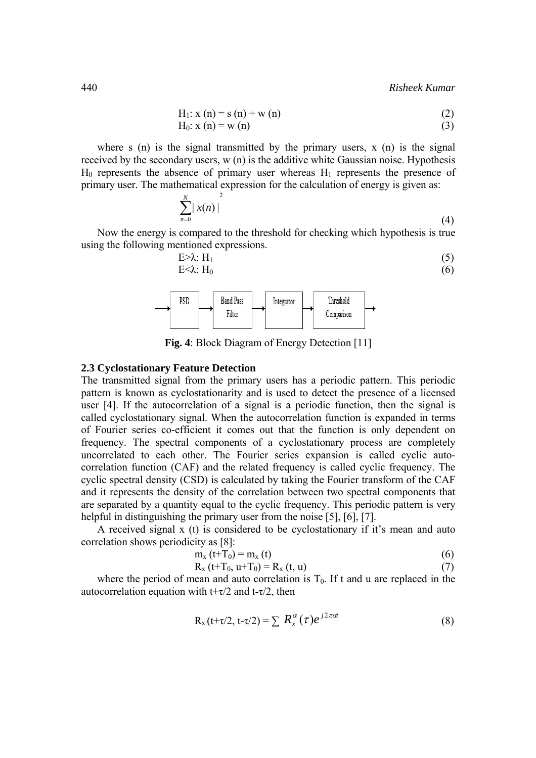$$
H_1: x(n) = s(n) + w(n)
$$
 (2)

$$
H_0: x(n) = w(n)
$$
\n<sup>(3)</sup>

where s (n) is the signal transmitted by the primary users, x (n) is the signal received by the secondary users, w (n) is the additive white Gaussian noise. Hypothesis  $H_0$  represents the absence of primary user whereas  $H_1$  represents the presence of primary user. The mathematical expression for the calculation of energy is given as:

$$
\sum_{n=0}^{N} |x(n)|^2 \tag{4}
$$

Now the energy is compared to the threshold for checking which hypothesis is true using the following mentioned expressions.

$$
E > \lambda: H_1
$$
\n
$$
E < \lambda: H_0
$$
\n
$$
(5)
$$
\n
$$
(6)
$$



**Fig. 4**: Block Diagram of Energy Detection [11]

#### **2.3 Cyclostationary Feature Detection**

The transmitted signal from the primary users has a periodic pattern. This periodic pattern is known as cyclostationarity and is used to detect the presence of a licensed user [4]. If the autocorrelation of a signal is a periodic function, then the signal is called cyclostationary signal. When the autocorrelation function is expanded in terms of Fourier series co-efficient it comes out that the function is only dependent on frequency. The spectral components of a cyclostationary process are completely uncorrelated to each other. The Fourier series expansion is called cyclic autocorrelation function (CAF) and the related frequency is called cyclic frequency. The cyclic spectral density (CSD) is calculated by taking the Fourier transform of the CAF and it represents the density of the correlation between two spectral components that are separated by a quantity equal to the cyclic frequency. This periodic pattern is very helpful in distinguishing the primary user from the noise [5], [6], [7].

A received signal x (t) is considered to be cyclostationary if it's mean and auto correlation shows periodicity as [8]:

$$
m_{x}(t+T_0) = m_{x}(t) \tag{6}
$$

$$
R_x(t+T_0, u+T_0) = R_x(t, u)
$$
\n(7)

where the period of mean and auto correlation is  $T_0$ . If t and u are replaced in the autocorrelation equation with  $t+\tau/2$  and  $t-\tau/2$ , then

$$
R_x(t+\tau/2, t-\tau/2) = \sum R_x^{\alpha}(\tau)e^{j2\pi\alpha t}
$$
 (8)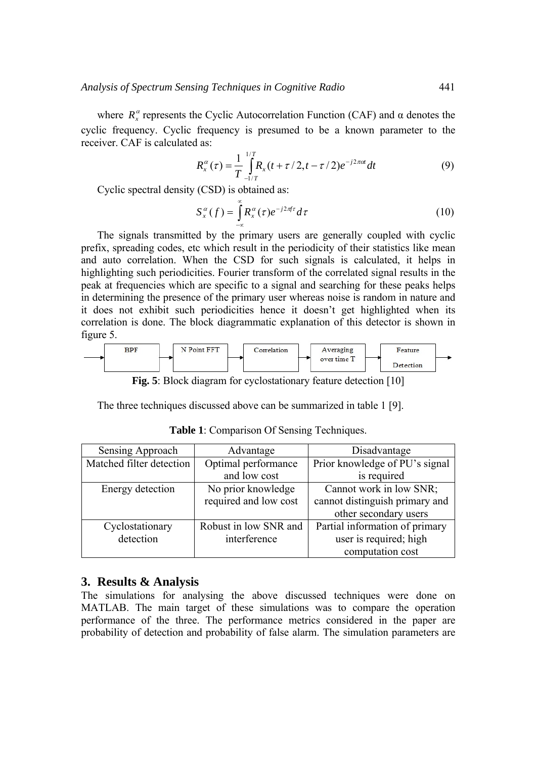where  $R_{r}^{\alpha}$  represents the Cyclic Autocorrelation Function (CAF) and  $\alpha$  denotes the cyclic frequency. Cyclic frequency is presumed to be a known parameter to the receiver. CAF is calculated as:

$$
R_x^{\alpha}(\tau) = \frac{1}{T} \int_{-1/T}^{1/T} R_x(t + \tau/2, t - \tau/2) e^{-j2\pi\alpha t} dt
$$
 (9)

Cyclic spectral density (CSD) is obtained as:

$$
S_x^{\alpha}(f) = \int_{-\infty}^{\infty} R_x^{\alpha}(\tau) e^{-j2\pi f \tau} d\tau
$$
 (10)

The signals transmitted by the primary users are generally coupled with cyclic prefix, spreading codes, etc which result in the periodicity of their statistics like mean and auto correlation. When the CSD for such signals is calculated, it helps in highlighting such periodicities. Fourier transform of the correlated signal results in the peak at frequencies which are specific to a signal and searching for these peaks helps in determining the presence of the primary user whereas noise is random in nature and it does not exhibit such periodicities hence it doesn't get highlighted when its correlation is done. The block diagrammatic explanation of this detector is shown in figure 5.



**Fig. 5**: Block diagram for cyclostationary feature detection [10]

The three techniques discussed above can be summarized in table 1 [9].

| Sensing Approach         | Advantage             | Disadvantage                   |
|--------------------------|-----------------------|--------------------------------|
| Matched filter detection | Optimal performance   | Prior knowledge of PU's signal |
|                          | and low cost          | is required                    |
| Energy detection         | No prior knowledge    | Cannot work in low SNR;        |
|                          | required and low cost | cannot distinguish primary and |
|                          |                       | other secondary users          |
| Cyclostationary          | Robust in low SNR and | Partial information of primary |
| detection                | interference          | user is required; high         |
|                          |                       | computation cost               |

**Table 1**: Comparison Of Sensing Techniques.

#### **3. Results & Analysis**

The simulations for analysing the above discussed techniques were done on MATLAB. The main target of these simulations was to compare the operation performance of the three. The performance metrics considered in the paper are probability of detection and probability of false alarm. The simulation parameters are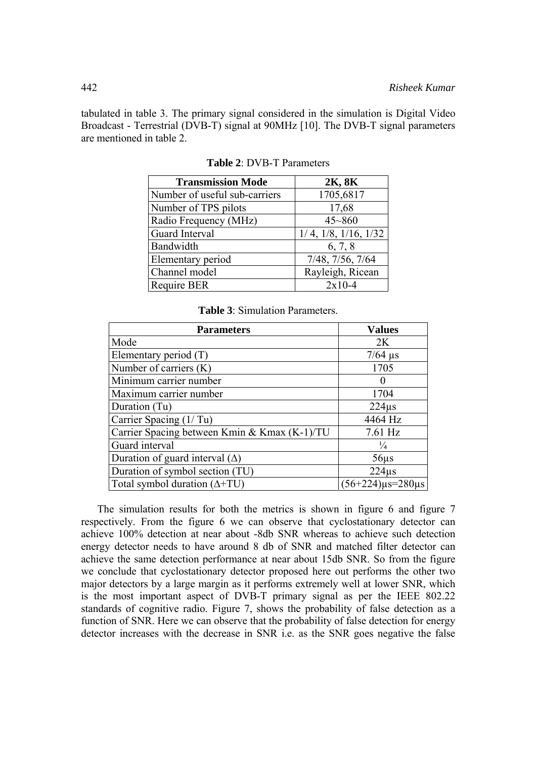tabulated in table 3. The primary signal considered in the simulation is Digital Video Broadcast - Terrestrial (DVB-T) signal at 90MHz [10]. The DVB-T signal parameters are mentioned in table 2.

| <b>Transmission Mode</b>      | 2K, 8K                          |
|-------------------------------|---------------------------------|
| Number of useful sub-carriers | 1705,6817                       |
| Number of TPS pilots          | 17,68                           |
| Radio Frequency (MHz)         | $45 - 860$                      |
| Guard Interval                | $1/4$ , $1/8$ , $1/16$ , $1/32$ |
| Bandwidth                     | 6, 7, 8                         |
| Elementary period             | 7/48, 7/56, 7/64                |
| Channel model                 | Rayleigh, Ricean                |
| <b>Require BER</b>            | $2x10-4$                        |

**Table 2**: DVB-T Parameters

| <b>Table 3: Simulation Parameters.</b> |  |
|----------------------------------------|--|
|----------------------------------------|--|

| <b>Parameters</b>                            | <b>Values</b>              |
|----------------------------------------------|----------------------------|
| Mode                                         | 2K                         |
| Elementary period (T)                        | $7/64$ $\mu$ s             |
| Number of carriers (K)                       | 1705                       |
| Minimum carrier number                       | 0                          |
| Maximum carrier number                       | 1704                       |
| Duration (Tu)                                | 224 <sub>us</sub>          |
| Carrier Spacing (1/Tu)                       | 4464 Hz                    |
| Carrier Spacing between Kmin & Kmax (K-1)/TU | $7.61$ Hz                  |
| Guard interval                               | $\frac{1}{4}$              |
| Duration of guard interval $(\Delta)$        | $56\mu s$                  |
| Duration of symbol section (TU)              | $224\mu s$                 |
| Total symbol duration $(\Delta + TU)$        | $(56+224)\mu s = 280\mu s$ |

The simulation results for both the metrics is shown in figure 6 and figure 7 respectively. From the figure 6 we can observe that cyclostationary detector can achieve 100% detection at near about -8db SNR whereas to achieve such detection energy detector needs to have around 8 db of SNR and matched filter detector can achieve the same detection performance at near about 15db SNR. So from the figure we conclude that cyclostationary detector proposed here out performs the other two major detectors by a large margin as it performs extremely well at lower SNR, which is the most important aspect of DVB-T primary signal as per the IEEE 802.22 standards of cognitive radio. Figure 7, shows the probability of false detection as a function of SNR. Here we can observe that the probability of false detection for energy detector increases with the decrease in SNR i.e. as the SNR goes negative the false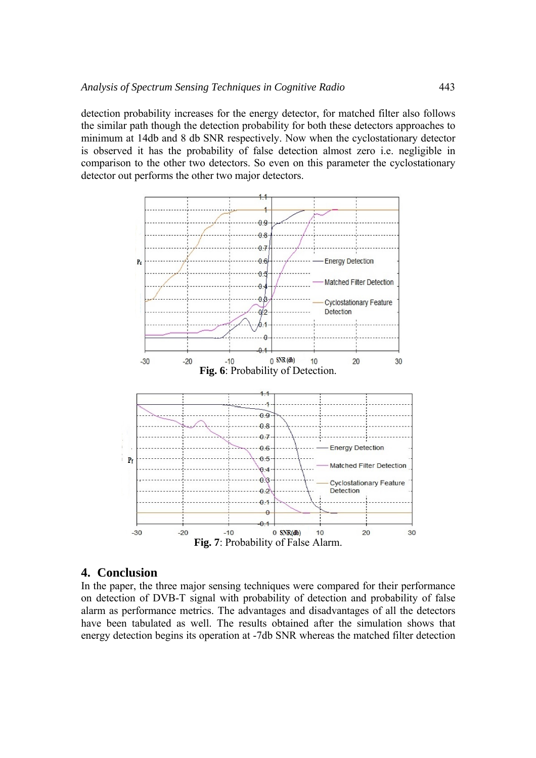detection probability increases for the energy detector, for matched filter also follows the similar path though the detection probability for both these detectors approaches to minimum at 14db and 8 db SNR respectively. Now when the cyclostationary detector is observed it has the probability of false detection almost zero i.e. negligible in comparison to the other two detectors. So even on this parameter the cyclostationary detector out performs the other two major detectors.



## **4. Conclusion**

In the paper, the three major sensing techniques were compared for their performance on detection of DVB-T signal with probability of detection and probability of false alarm as performance metrics. The advantages and disadvantages of all the detectors have been tabulated as well. The results obtained after the simulation shows that energy detection begins its operation at -7db SNR whereas the matched filter detection